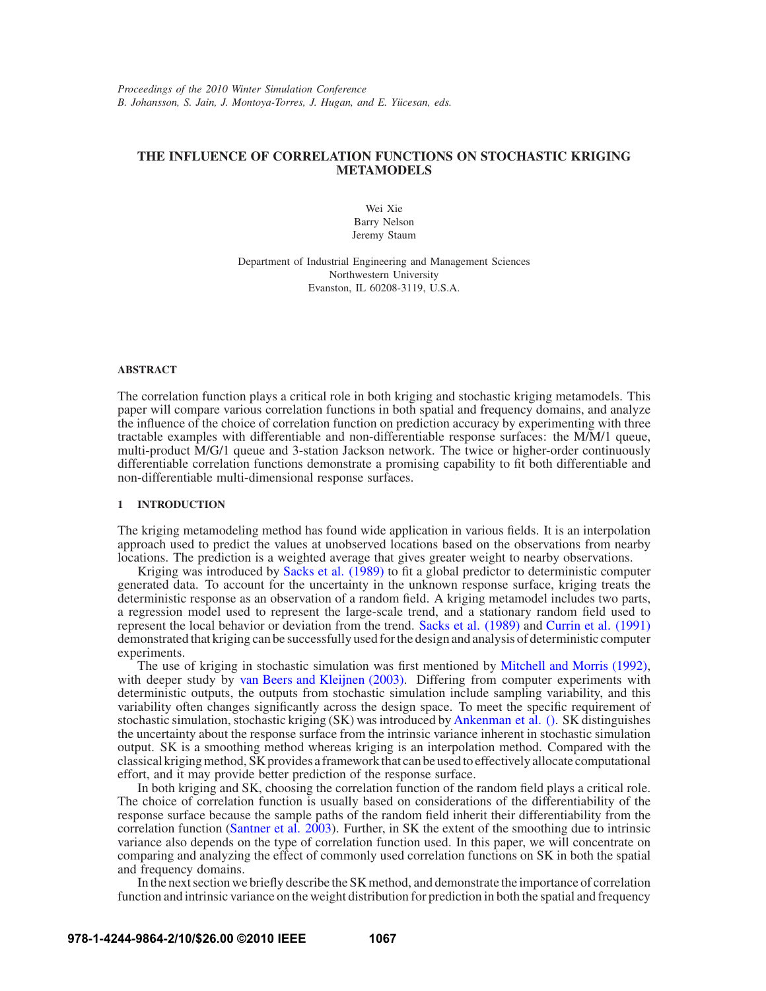# **THE INFLUENCE OF CORRELATION FUNCTIONS ON STOCHASTIC KRIGING METAMODELS**

Wei Xie Barry Nelson Jeremy Staum

Department of Industrial Engineering and Management Sciences Northwestern University Evanston, IL 60208-3119, U.S.A.

## **ABSTRACT**

The correlation function plays a critical role in both kriging and stochastic kriging metamodels. This paper will compare various correlation functions in both spatial and frequency domains, and analyze the influence of the choice of correlation function on prediction accuracy by experimenting with three tractable examples with differentiable and non-differentiable response surfaces: the M/M/1 queue, multi-product M/G/1 queue and 3-station Jackson network. The twice or higher-order continuously differentiable correlation functions demonstrate a promising capability to fit both differentiable and non-differentiable multi-dimensional response surfaces.

### **1 INTRODUCTION**

The kriging metamodeling method has found wide application in various fields. It is an interpolation approach used to predict the values at unobserved locations based on the observations from nearby locations. The prediction is a weighted average that gives greater weight to nearby observations.

Kriging was introduced by Sacks et al. (1989) to fit a global predictor to deterministic computer generated data. To account for the uncertainty in the unknown response surface, kriging treats the deterministic response as an observation of a random field. A kriging metamodel includes two parts, a regression model used to represent the large-scale trend, and a stationary random field used to represent the local behavior or deviation from the trend. Sacks et al. (1989) and Currin et al. (1991) demonstrated that kriging can be successfully used for the design and analysis of deterministic computer experiments.

The use of kriging in stochastic simulation was first mentioned by Mitchell and Morris (1992), with deeper study by van Beers and Kleijnen (2003). Differing from computer experiments with deterministic outputs, the outputs from stochastic simulation include sampling variability, and this variability often changes significantly across the design space. To meet the specific requirement of stochastic simulation, stochastic kriging (SK) was introduced by Ankenman et al. (). SK distinguishes the uncertainty about the response surface from the intrinsic variance inherent in stochastic simulation output. SK is a smoothing method whereas kriging is an interpolation method. Compared with the classical kriging method, SK provides a framework that can be used to effectively allocate computational effort, and it may provide better prediction of the response surface.

In both kriging and SK, choosing the correlation function of the random field plays a critical role. The choice of correlation function is usually based on considerations of the differentiability of the response surface because the sample paths of the random field inherit their differentiability from the correlation function (Santner et al. 2003). Further, in SK the extent of the smoothing due to intrinsic variance also depends on the type of correlation function used. In this paper, we will concentrate on comparing and analyzing the effect of commonly used correlation functions on SK in both the spatial and frequency domains.

In the next section we briefly describe the SK method, and demonstrate the importance of correlation function and intrinsic variance on the weight distribution for prediction in both the spatial and frequency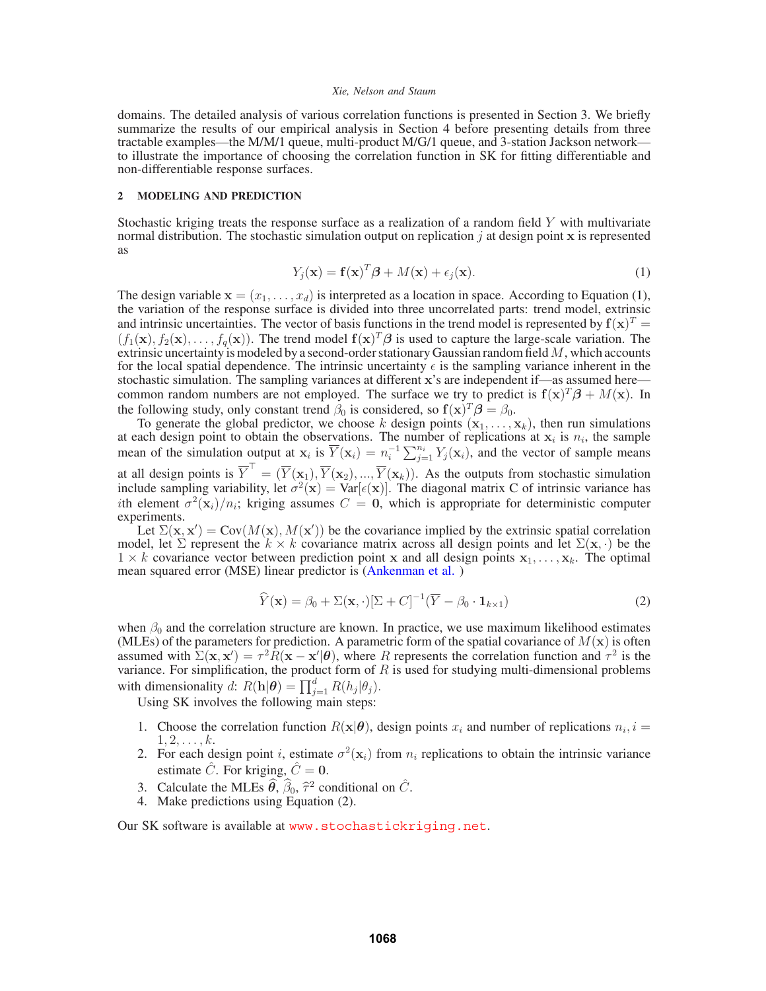domains. The detailed analysis of various correlation functions is presented in Section 3. We briefly summarize the results of our empirical analysis in Section 4 before presenting details from three tractable examples—the M/M/1 queue, multi-product M/G/1 queue, and 3-station Jackson network to illustrate the importance of choosing the correlation function in SK for fitting differentiable and non-differentiable response surfaces.

## **2 MODELING AND PREDICTION**

Stochastic kriging treats the response surface as a realization of a random field Y with multivariate normal distribution. The stochastic simulation output on replication  $j$  at design point  $x$  is represented as

$$
Y_j(\mathbf{x}) = \mathbf{f}(\mathbf{x})^T \boldsymbol{\beta} + M(\mathbf{x}) + \epsilon_j(\mathbf{x}).
$$
\n(1)

The design variable  $\mathbf{x} = (x_1, \dots, x_d)$  is interpreted as a location in space. According to Equation (1), the variation of the response surface is divided into three uncorrelated parts: trend model, extrinsic and intrinsic uncertainties. The vector of basis functions in the trend model is represented by  $f(x)^T =$  $(f_1(\mathbf{x}), f_2(\mathbf{x}), \ldots, f_q(\mathbf{x}))$ . The trend model  $f(\mathbf{x})^T \boldsymbol{\beta}$  is used to capture the large-scale variation. The extrinsic uncertainty is modeled by a second-order stationary Gaussian random field  $M$ , which accounts for the local spatial dependence. The intrinsic uncertainty  $\epsilon$  is the sampling variance inherent in the stochastic simulation. The sampling variances at different x's are independent if—as assumed here common random numbers are not employed. The surface we try to predict is  $f(x)^T \beta + M(x)$ . In the following study, only constant trend  $\beta_0$  is considered, so  $f(x)^T \beta = \beta_0$ .

To generate the global predictor, we choose k design points  $(x_1, \ldots, x_k)$ , then run simulations at each design point to obtain the observations. The number of replications at  $x_i$  is  $n_i$ , the sample mean of the simulation output at  $x_i$  is  $\overline{Y}(\mathbf{x}_i) = n_i^{-1} \sum_{j=1}^{n_i} Y_j(\mathbf{x}_i)$ , and the vector of sample means at all design points is  $\overline{Y}^{\top} = (\overline{Y}(\mathbf{x}_1), \overline{Y}(\mathbf{x}_2), ..., \overline{Y}(\mathbf{x}_k))$ . As the outputs from stochastic simulation include sampling variability, let  $\sigma^2(x) = \text{Var}[\epsilon(x)]$ . The diagonal matrix C of intrinsic variance has ith element  $\sigma^2(\mathbf{x}_i)/n_i$ ; kriging assumes  $C = 0$ , which is appropriate for deterministic computer experiments.

Let  $\Sigma(\mathbf{x}, \mathbf{x}') = \text{Cov}(M(\mathbf{x}), M(\mathbf{x}'))$  be the covariance implied by the extrinsic spatial correlation model, let  $\Sigma$  represent the  $k \times k$  covariance matrix across all design points and let  $\Sigma(\mathbf{x}, \cdot)$  be the  $1 \times k$  covariance vector between prediction point x and all design points  $x_1, \ldots, x_k$ . The optimal mean squared error (MSE) linear predictor is (Ankenman et al. )

$$
\widehat{Y}(\mathbf{x}) = \beta_0 + \Sigma(\mathbf{x}, \cdot)[\Sigma + C]^{-1}(\overline{Y} - \beta_0 \cdot \mathbf{1}_{k \times 1})
$$
\n(2)

when  $\beta_0$  and the correlation structure are known. In practice, we use maximum likelihood estimates (MLEs) of the parameters for prediction. A parametric form of the spatial covariance of  $M(x)$  is often assumed with  $\Sigma(\mathbf{x}, \mathbf{x}') = \tau^2 R(\mathbf{x} - \mathbf{x}' | \theta)$ , where R represents the correlation function and  $\tau^2$  is the variance. For simplification, the product form of R is used for studying multi-dimensional problems with dimensionality d:  $R(\mathbf{h}|\boldsymbol{\theta}) = \prod_{j=1}^{d} R(h_j|\theta_j)$ .

Using SK involves the following main steps:

- 1. Choose the correlation function  $R(\mathbf{x}|\boldsymbol{\theta})$ , design points  $x_i$  and number of replications  $n_i$ ,  $i =$  $1, 2, \ldots, k.$
- 2. For each design point i, estimate  $\sigma^2(\mathbf{x}_i)$  from  $n_i$  replications to obtain the intrinsic variance estimate  $\ddot{C}$ . For kriging,  $\ddot{C} = 0$ .
- 3. Calculate the MLEs  $\hat{\theta}$ ,  $\hat{\beta}_0$ ,  $\hat{\tau}^2$  conditional on  $\hat{C}$ .
- 4. Make predictions using Equation (2).

Our SK software is available at www.stochastickriging.net.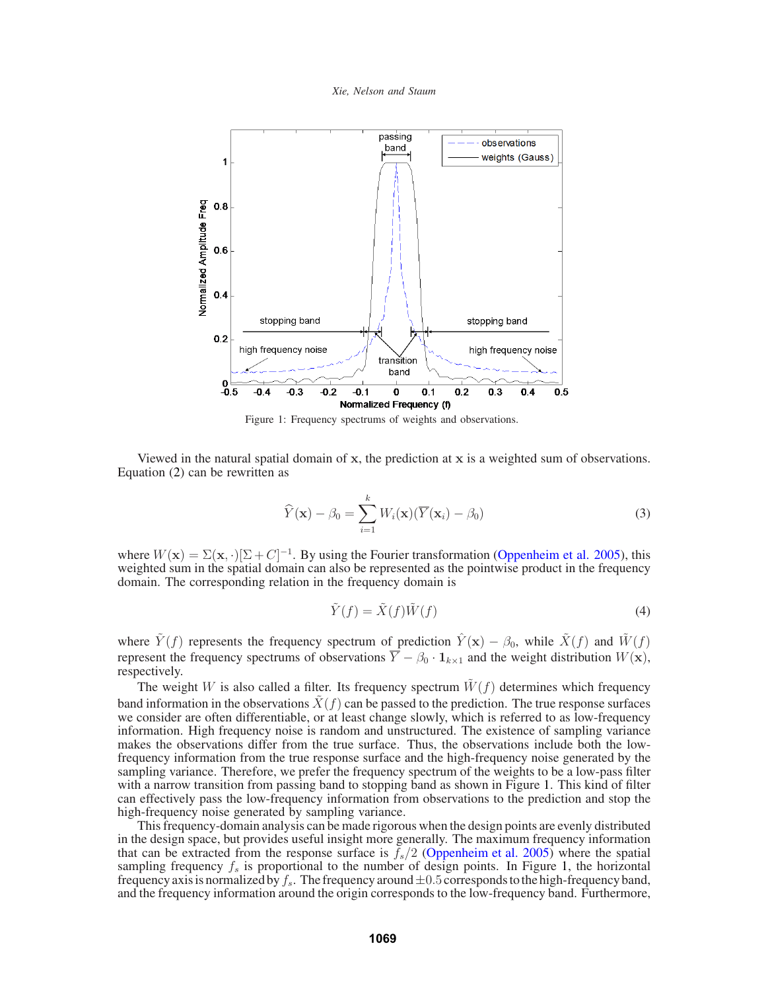*Xie, Nelson and Staum*



Figure 1: Frequency spectrums of weights and observations.

Viewed in the natural spatial domain of  $x$ , the prediction at  $x$  is a weighted sum of observations. Equation (2) can be rewritten as

$$
\widehat{Y}(\mathbf{x}) - \beta_0 = \sum_{i=1}^{k} W_i(\mathbf{x}) (\overline{Y}(\mathbf{x}_i) - \beta_0)
$$
\n(3)

where  $W(\mathbf{x}) = \sum(\mathbf{x}, \cdot)[\sum + C]^{-1}$ . By using the Fourier transformation (Oppenheim et al. 2005), this weighted sum in the spatial domain can also be represented as the pointwise product in the frequency domain. The corresponding relation in the frequency domain is

$$
\tilde{Y}(f) = \tilde{X}(f)\tilde{W}(f) \tag{4}
$$

where  $\tilde{Y}(f)$  represents the frequency spectrum of prediction  $\hat{Y}(\mathbf{x}) - \beta_0$ , while  $\tilde{X}(f)$  and  $\tilde{W}(f)$ represent the frequency spectrums of observations  $\overline{Y} - \beta_0 \cdot 1_{k \times 1}$  and the weight distribution  $W(\mathbf{x})$ , respectively.

The weight W is also called a filter. Its frequency spectrum  $W(f)$  determines which frequency band information in the observations  $\tilde{X}(f)$  can be passed to the prediction. The true response surfaces we consider are often differentiable, or at least change slowly, which is referred to as low-frequency information. High frequency noise is random and unstructured. The existence of sampling variance makes the observations differ from the true surface. Thus, the observations include both the lowfrequency information from the true response surface and the high-frequency noise generated by the sampling variance. Therefore, we prefer the frequency spectrum of the weights to be a low-pass filter with a narrow transition from passing band to stopping band as shown in Figure 1. This kind of filter can effectively pass the low-frequency information from observations to the prediction and stop the high-frequency noise generated by sampling variance.

This frequency-domain analysis can be made rigorous when the design points are evenly distributed in the design space, but provides useful insight more generally. The maximum frequency information that can be extracted from the response surface is  $\tilde{f}_s/2$  (Oppenheim et al. 2005) where the spatial sampling frequency  $f_s$  is proportional to the number of design points. In Figure 1, the horizontal frequency axis is normalized by  $f_s$ . The frequency around  $\pm 0.5$  corresponds to the high-frequency band, and the frequency information around the origin corresponds to the low-frequency band. Furthermore,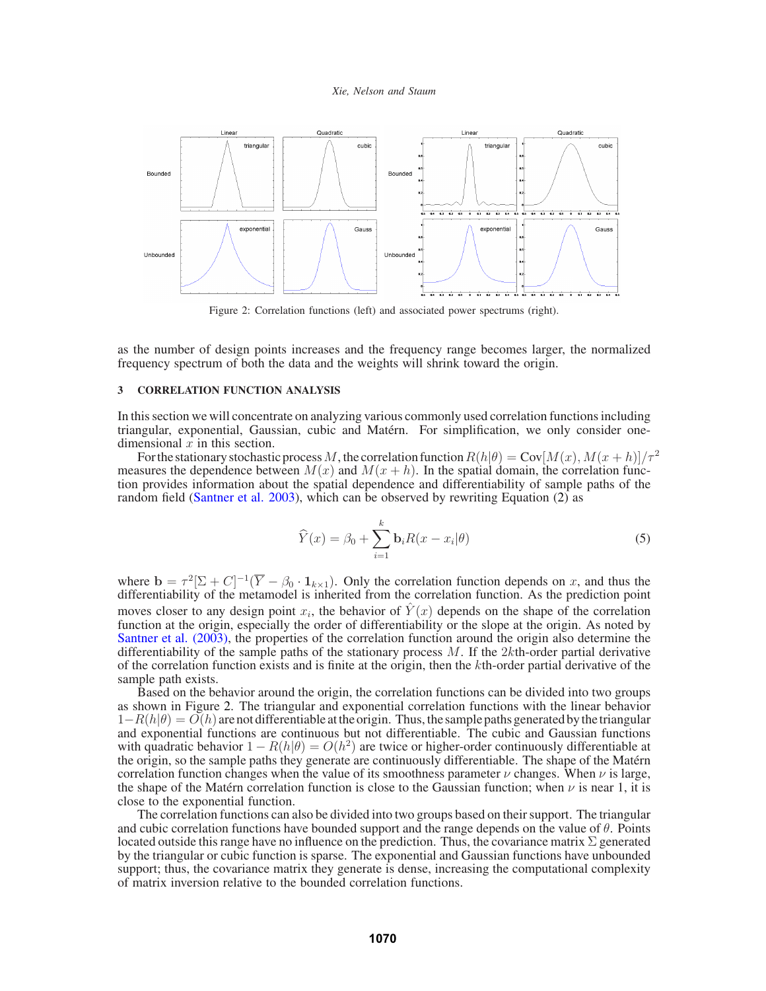

Figure 2: Correlation functions (left) and associated power spectrums (right).

as the number of design points increases and the frequency range becomes larger, the normalized frequency spectrum of both the data and the weights will shrink toward the origin.

## **3 CORRELATION FUNCTION ANALYSIS**

In this section we will concentrate on analyzing various commonly used correlation functions including triangular, exponential, Gaussian, cubic and Matern. For simplification, we only consider one- ´ dimensional  $x$  in this section.

For the stationary stochastic process M, the correlation function  $R(h|\theta) = \text{Cov}[M(x), M(x+h)]/\tau^2$ measures the dependence between  $M(x)$  and  $M(x+h)$ . In the spatial domain, the correlation function provides information about the spatial dependence and differentiability of sample paths of the random field (Santner et al. 2003), which can be observed by rewriting Equation (2) as

$$
\widehat{Y}(x) = \beta_0 + \sum_{i=1}^{k} \mathbf{b}_i R(x - x_i | \theta)
$$
\n(5)

where  $\mathbf{b} = \tau^2[\Sigma + C]^{-1}(\overline{Y} - \beta_0 \cdot \mathbf{1}_{k \times 1})$ . Only the correlation function depends on x, and thus the differentiability of the metamodel is inherited from the correlation function. As the prediction point moves closer to any design point  $x_i$ , the behavior of  $\hat{Y}(x)$  depends on the shape of the correlation function at the origin, especially the order of differentiability or the slope at the origin. As noted by Santner et al. (2003), the properties of the correlation function around the origin also determine the differentiability of the sample paths of the stationary process  $M$ . If the 2kth-order partial derivative of the correlation function exists and is finite at the origin, then the kth-order partial derivative of the sample path exists.

Based on the behavior around the origin, the correlation functions can be divided into two groups as shown in Figure 2. The triangular and exponential correlation functions with the linear behavior  $1-R(h|\theta) = O(h)$  are not differentiable at the origin. Thus, the sample paths generated by the triangular and exponential functions are continuous but not differentiable. The cubic and Gaussian functions with quadratic behavior  $1 - R(h|\theta) = O(h^2)$  are twice or higher-order continuously differentiable at the origin, so the sample paths they generate are continuously differentiable. The shape of the Matérn correlation function changes when the value of its smoothness parameter  $\nu$  changes. When  $\nu$  is large, the shape of the Matérn correlation function is close to the Gaussian function; when  $\nu$  is near 1, it is close to the exponential function.

The correlation functions can also be divided into two groups based on their support. The triangular and cubic correlation functions have bounded support and the range depends on the value of  $\theta$ . Points located outside this range have no influence on the prediction. Thus, the covariance matrix  $\Sigma$  generated by the triangular or cubic function is sparse. The exponential and Gaussian functions have unbounded support; thus, the covariance matrix they generate is dense, increasing the computational complexity of matrix inversion relative to the bounded correlation functions.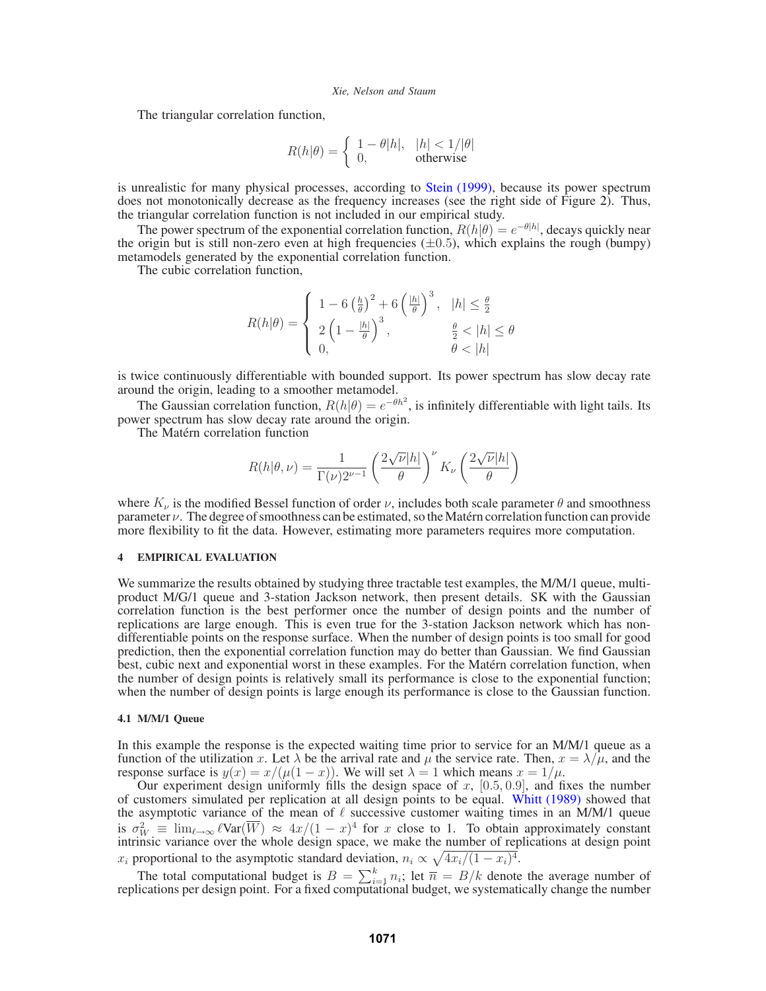The triangular correlation function,

$$
R(h|\theta) = \begin{cases} 1 - \theta|h|, & |h| < 1/|\theta| \\ 0, & \text{otherwise} \end{cases}
$$

is unrealistic for many physical processes, according to Stein (1999), because its power spectrum does not monotonically decrease as the frequency increases (see the right side of Figure 2). Thus, the triangular correlation function is not included in our empirical study.

The power spectrum of the exponential correlation function,  $R(h|\theta) = e^{-\theta|h|}$ , decays quickly near the origin but is still non-zero even at high frequencies  $(\pm 0.5)$ , which explains the rough (bumpy) metamodels generated by the exponential correlation function.

The cubic correlation function,

$$
R(h|\theta) = \begin{cases} 1 - 6\left(\frac{h}{\theta}\right)^2 + 6\left(\frac{|h|}{\theta}\right)^3, & |h| \le \frac{\theta}{2} \\ 2\left(1 - \frac{|h|}{\theta}\right)^3, & \frac{\theta}{2} < |h| \le \theta \\ 0, & \theta < |h| \end{cases}
$$

is twice continuously differentiable with bounded support. Its power spectrum has slow decay rate around the origin, leading to a smoother metamodel.

The Gaussian correlation function,  $R(h|\theta) = e^{-\theta h^2}$ , is infinitely differentiable with light tails. Its power spectrum has slow decay rate around the origin.

The Matérn correlation function

$$
R(h|\theta,\nu) = \frac{1}{\Gamma(\nu)2^{\nu-1}} \left(\frac{2\sqrt{\nu}|h|}{\theta}\right)^{\nu} K_{\nu} \left(\frac{2\sqrt{\nu}|h|}{\theta}\right)
$$

where  $K_{\nu}$  is the modified Bessel function of order  $\nu$ , includes both scale parameter  $\theta$  and smoothness parameter  $\nu$ . The degree of smoothness can be estimated, so the Matérn correlation function can provide more flexibility to fit the data. However, estimating more parameters requires more computation.

## **4 EMPIRICAL EVALUATION**

We summarize the results obtained by studying three tractable test examples, the M/M/1 queue, multiproduct M/G/1 queue and 3-station Jackson network, then present details. SK with the Gaussian correlation function is the best performer once the number of design points and the number of replications are large enough. This is even true for the 3-station Jackson network which has nondifferentiable points on the response surface. When the number of design points is too small for good prediction, then the exponential correlation function may do better than Gaussian. We find Gaussian best, cubic next and exponential worst in these examples. For the Matérn correlation function, when the number of design points is relatively small its performance is close to the exponential function; when the number of design points is large enough its performance is close to the Gaussian function.

#### **4.1 M/M/1 Queue**

In this example the response is the expected waiting time prior to service for an M/M/1 queue as a function of the utilization x. Let  $\lambda$  be the arrival rate and  $\mu$  the service rate. Then,  $x = \lambda/\mu$ , and the response surface is  $y(x) = x/(\mu(1-x))$ . We will set  $\lambda = 1$  which means  $x = 1/\mu$ .

Our experiment design uniformly fills the design space of  $x$ , [0.5, 0.9], and fixes the number of customers simulated per replication at all design points to be equal. Whitt (1989) showed that the asymptotic variance of the mean of  $\ell$  successive customer waiting times in an M/M/1 queue is  $\sigma_W^2 \equiv \lim_{\ell \to \infty} \ell \text{Var}(\overline{W}) \approx 4x/(1-x)^4$  for x close to 1. To obtain approximately constant intrinsic variance over the whole design space, we make the number of replications at design point  $x_i$  proportional to the asymptotic standard deviation,  $n_i \propto \sqrt{4x_i/(1-x_i)^4}$ .

The total computational budget is  $B = \sum_{i=1}^{k} n_i$ ; let  $\overline{n} = B/k$  denote the average number of replications per design point. For a fixed computational budget, we systematically change the number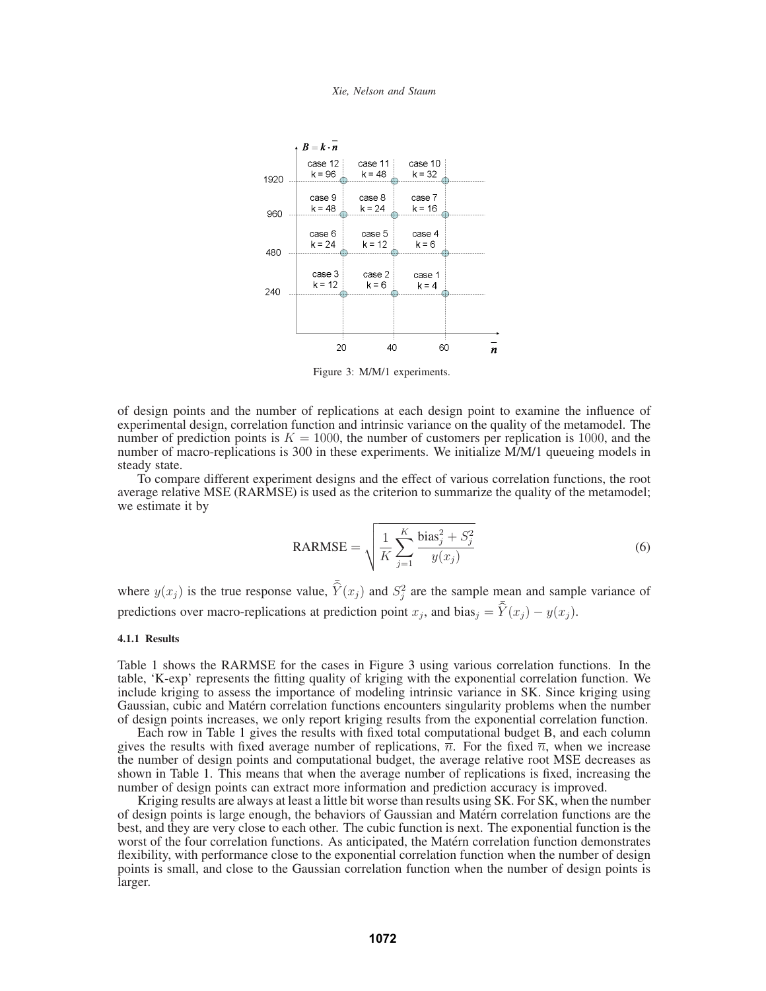

Figure 3: M/M/1 experiments.

of design points and the number of replications at each design point to examine the influence of experimental design, correlation function and intrinsic variance on the quality of the metamodel. The number of prediction points is  $K = 1000$ , the number of customers per replication is 1000, and the number of macro-replications is 300 in these experiments. We initialize M/M/1 queueing models in steady state.

To compare different experiment designs and the effect of various correlation functions, the root average relative MSE (RARMSE) is used as the criterion to summarize the quality of the metamodel; we estimate it by

$$
RARMSE = \sqrt{\frac{1}{K} \sum_{j=1}^{K} \frac{\text{bias}_j^2 + S_j^2}{y(x_j)}}
$$
(6)

where  $y(x_j)$  is the true response value,  $\bar{\hat{Y}}(x_j)$  and  $S_j^2$  are the sample mean and sample variance of predictions over macro-replications at prediction point  $x_j$ , and bias $_j = \overline{\hat{Y}}(x_j) - y(x_j)$ .

## **4.1.1 Results**

Table 1 shows the RARMSE for the cases in Figure 3 using various correlation functions. In the table, 'K-exp' represents the fitting quality of kriging with the exponential correlation function. We include kriging to assess the importance of modeling intrinsic variance in SK. Since kriging using Gaussian, cubic and Matern correlation functions encounters singularity problems when the number ´ of design points increases, we only report kriging results from the exponential correlation function.

Each row in Table 1 gives the results with fixed total computational budget B, and each column gives the results with fixed average number of replications,  $\overline{n}$ . For the fixed  $\overline{n}$ , when we increase the number of design points and computational budget, the average relative root MSE decreases as shown in Table 1. This means that when the average number of replications is fixed, increasing the number of design points can extract more information and prediction accuracy is improved.

Kriging results are always at least a little bit worse than results using SK. For SK, when the number of design points is large enough, the behaviors of Gaussian and Matern correlation functions are the ´ best, and they are very close to each other. The cubic function is next. The exponential function is the worst of the four correlation functions. As anticipated, the Matérn correlation function demonstrates flexibility, with performance close to the exponential correlation function when the number of design points is small, and close to the Gaussian correlation function when the number of design points is larger.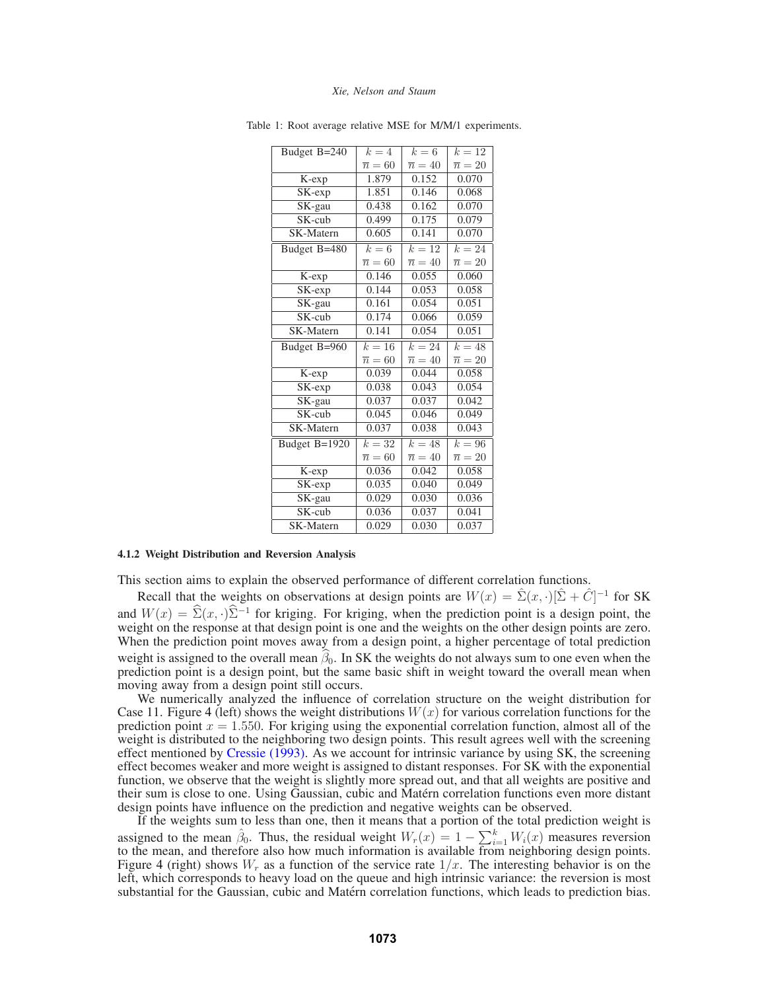| Budget B=240                | $k=4$               | $k=6$               | $k=12$              |
|-----------------------------|---------------------|---------------------|---------------------|
|                             | $\overline{n} = 60$ | $\overline{n} = 40$ | $\overline{n} = 20$ |
| K-exp                       | 1.879               | 0.152               | 0.070               |
| SK-exp                      | 1.851               | 0.146               | 0.068               |
| SK-gau                      | 0.438               | 0.162               | 0.070               |
| $\overline{\text{SK}}$ -cub | 0.499               | 0.175               | 0.079               |
| <b>SK-Matern</b>            | 0.605               | 0.141               | 0.070               |
| Budget B=480                | $k=6$               | $\overline{k=12}$   | $k=24$              |
|                             | $\overline{n} = 60$ | $\overline{n} = 40$ | $\overline{n} = 20$ |
| K-exp                       | 0.146               | 0.055               | 0.060               |
| $\overline{\text{SK}}$ -exp | 0.144               | 0.053               | 0.058               |
| SK-gau                      | 0.161               | 0.054               | 0.051               |
| SK-cub                      | 0.174               | 0.066               | 0.059               |
| <b>SK-Matern</b>            | 0.141               | 0.054               | 0.051               |
|                             |                     |                     |                     |
| Budget B=960                | $k=16$              | $k=24$              | $k = 48$            |
|                             | $\overline{n} = 60$ | $\overline{n} = 40$ | $\overline{n} = 20$ |
| K-exp                       | 0.039               | 0.044               | 0.058               |
| SK-exp                      | 0.038               | 0.043               | 0.054               |
| SK-gau                      | 0.037               | 0.037               | 0.042               |
| $SK-cub$                    | 0.045               | 0.046               | 0.049               |
| <b>SK-Matern</b>            | 0.037               | 0.038               | 0.043               |
| Budget B=1920               | $k=32$              | $k = 48$            | $k=96$              |
|                             | $\overline{n} = 60$ | $\overline{n} = 40$ | $\overline{n} = 20$ |
| K-exp                       | 0.036               | 0.042               | 0.058               |
| $\overline{\text{SK}}$ -exp | 0.035               | 0.040               | 0.049               |
| SK-gau                      | 0.029               | 0.030               | 0.036               |
| SK-cub<br>SK-Matern         | 0.036               | 0.037               | 0.041               |

Table 1: Root average relative MSE for M/M/1 experiments.

### **4.1.2 Weight Distribution and Reversion Analysis**

This section aims to explain the observed performance of different correlation functions.

Recall that the weights on observations at design points are  $W(x) = \hat{\Sigma}(x, \cdot)[\hat{\Sigma} + \hat{C}]^{-1}$  for SK and  $W(x) = \hat{\Sigma}(x, \cdot)\hat{\Sigma}^{-1}$  for kriging. For kriging, when the prediction point is a design point, the weight on the response at that design point is one and the weights on the other design points are zero. When the prediction point moves away from a design point, a higher percentage of total prediction weight is assigned to the overall mean  $\beta_0$ . In SK the weights do not always sum to one even when the prediction point is a design point, but the same basic shift in weight toward the overall mean when moving away from a design point still occurs.

We numerically analyzed the influence of correlation structure on the weight distribution for Case 11. Figure 4 (left) shows the weight distributions  $W(x)$  for various correlation functions for the prediction point  $x = 1.550$ . For kriging using the exponential correlation function, almost all of the weight is distributed to the neighboring two design points. This result agrees well with the screening effect mentioned by Cressie (1993). As we account for intrinsic variance by using SK, the screening effect becomes weaker and more weight is assigned to distant responses. For SK with the exponential function, we observe that the weight is slightly more spread out, and that all weights are positive and their sum is close to one. Using Gaussian, cubic and Matern correlation functions even more distant ´ design points have influence on the prediction and negative weights can be observed.

If the weights sum to less than one, then it means that a portion of the total prediction weight is assigned to the mean  $\hat{\beta}_0$ . Thus, the residual weight  $W_r(x) = 1 - \sum_{i=1}^k W_i(x)$  measures reversion to the mean, and therefore also how much information is available from neighboring design points. Figure 4 (right) shows  $W_r$  as a function of the service rate  $1/x$ . The interesting behavior is on the left, which corresponds to heavy load on the queue and high intrinsic variance: the reversion is most substantial for the Gaussian, cubic and Matérn correlation functions, which leads to prediction bias.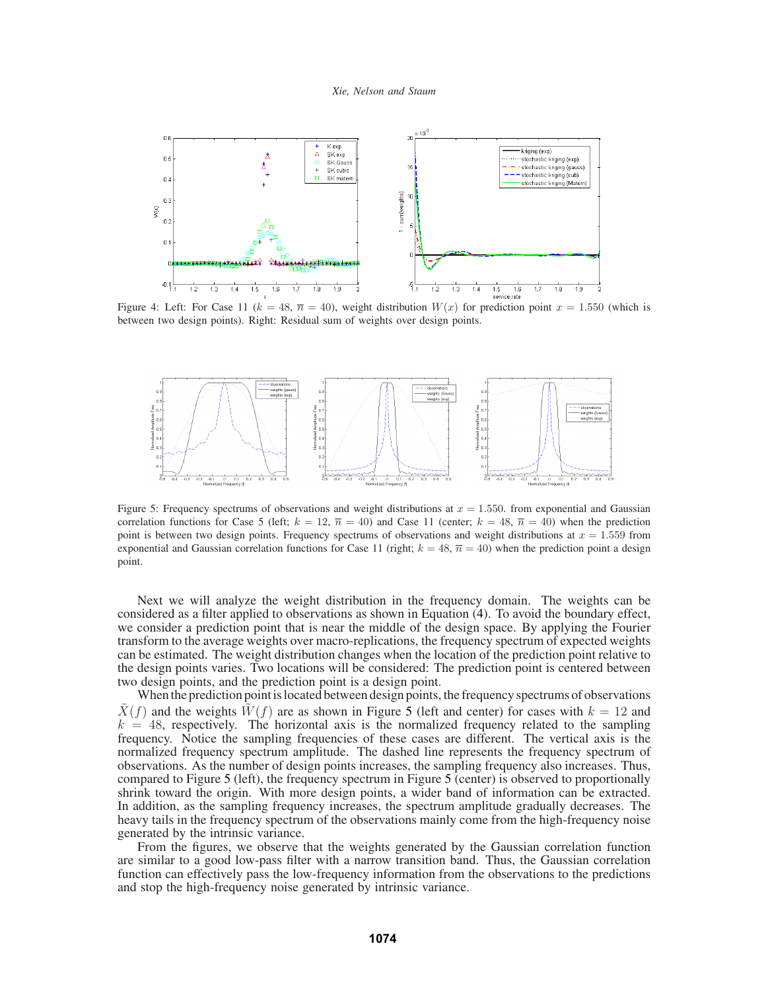

Figure 4: Left: For Case 11 ( $k = 48$ ,  $\overline{n} = 40$ ), weight distribution  $W(x)$  for prediction point  $x = 1.550$  (which is between two design points). Right: Residual sum of weights over design points.



Figure 5: Frequency spectrums of observations and weight distributions at  $x = 1.550$ . from exponential and Gaussian correlation functions for Case 5 (left;  $k = 12$ ,  $\overline{n} = 40$ ) and Case 11 (center;  $k = 48$ ,  $\overline{n} = 40$ ) when the prediction point is between two design points. Frequency spectrums of observations and weight distributions at  $x = 1.559$  from exponential and Gaussian correlation functions for Case 11 (right;  $k = 48$ ,  $\overline{n} = 40$ ) when the prediction point a design point.

Next we will analyze the weight distribution in the frequency domain. The weights can be considered as a filter applied to observations as shown in Equation (4). To avoid the boundary effect, we consider a prediction point that is near the middle of the design space. By applying the Fourier transform to the average weights over macro-replications, the frequency spectrum of expected weights can be estimated. The weight distribution changes when the location of the prediction point relative to the design points varies. Two locations will be considered: The prediction point is centered between two design points, and the prediction point is a design point.

When the prediction point is located between design points, the frequency spectrums of observations  $X(f)$  and the weights  $W(f)$  are as shown in Figure 5 (left and center) for cases with  $k = 12$  and  $k = 48$ , respectively. The horizontal axis is the normalized frequency related to the sampling frequency. Notice the sampling frequencies of these cases are different. The vertical axis is the normalized frequency spectrum amplitude. The dashed line represents the frequency spectrum of observations. As the number of design points increases, the sampling frequency also increases. Thus, compared to Figure 5 (left), the frequency spectrum in Figure 5 (center) is observed to proportionally shrink toward the origin. With more design points, a wider band of information can be extracted. In addition, as the sampling frequency increases, the spectrum amplitude gradually decreases. The heavy tails in the frequency spectrum of the observations mainly come from the high-frequency noise generated by the intrinsic variance.

From the figures, we observe that the weights generated by the Gaussian correlation function are similar to a good low-pass filter with a narrow transition band. Thus, the Gaussian correlation function can effectively pass the low-frequency information from the observations to the predictions and stop the high-frequency noise generated by intrinsic variance.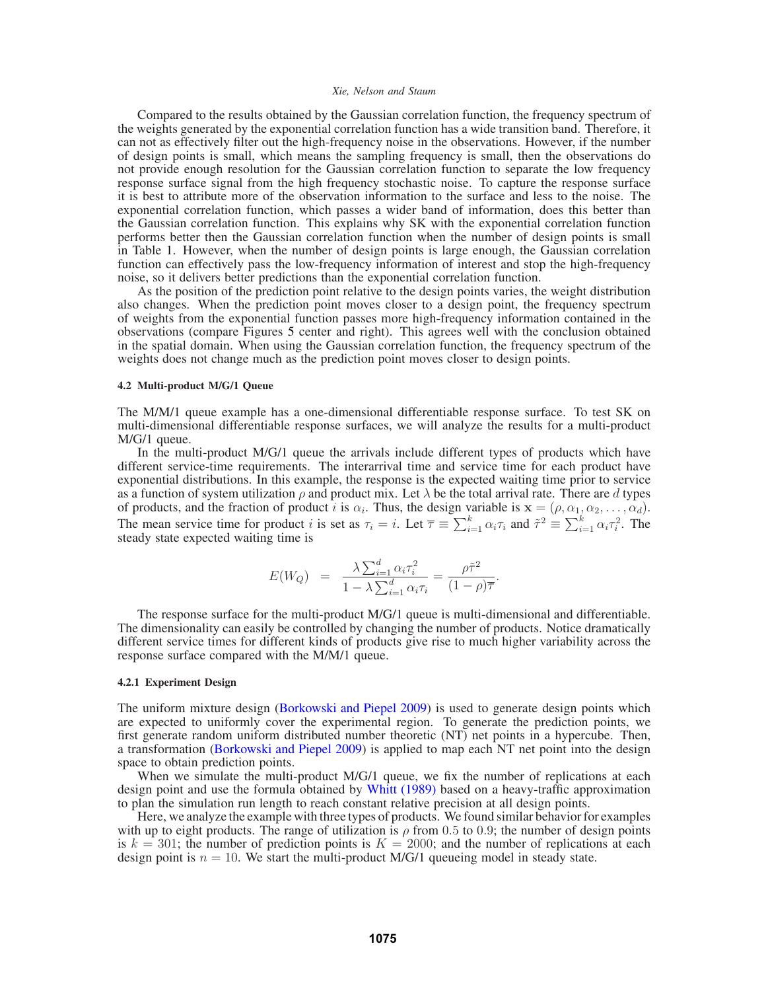Compared to the results obtained by the Gaussian correlation function, the frequency spectrum of the weights generated by the exponential correlation function has a wide transition band. Therefore, it can not as effectively filter out the high-frequency noise in the observations. However, if the number of design points is small, which means the sampling frequency is small, then the observations do not provide enough resolution for the Gaussian correlation function to separate the low frequency response surface signal from the high frequency stochastic noise. To capture the response surface it is best to attribute more of the observation information to the surface and less to the noise. The exponential correlation function, which passes a wider band of information, does this better than the Gaussian correlation function. This explains why SK with the exponential correlation function performs better then the Gaussian correlation function when the number of design points is small in Table 1. However, when the number of design points is large enough, the Gaussian correlation function can effectively pass the low-frequency information of interest and stop the high-frequency noise, so it delivers better predictions than the exponential correlation function.

As the position of the prediction point relative to the design points varies, the weight distribution also changes. When the prediction point moves closer to a design point, the frequency spectrum of weights from the exponential function passes more high-frequency information contained in the observations (compare Figures 5 center and right). This agrees well with the conclusion obtained in the spatial domain. When using the Gaussian correlation function, the frequency spectrum of the weights does not change much as the prediction point moves closer to design points.

#### **4.2 Multi-product M/G/1 Queue**

The M/M/1 queue example has a one-dimensional differentiable response surface. To test SK on multi-dimensional differentiable response surfaces, we will analyze the results for a multi-product M/G/1 queue.

In the multi-product M/G/1 queue the arrivals include different types of products which have different service-time requirements. The interarrival time and service time for each product have exponential distributions. In this example, the response is the expected waiting time prior to service as a function of system utilization  $\rho$  and product mix. Let  $\lambda$  be the total arrival rate. There are d types of products, and the fraction of product i is  $\alpha_i$ . Thus, the design variable is  $\mathbf{x} = (\rho, \alpha_1, \alpha_2, \dots, \alpha_d)$ . The mean service time for product *i* is set as  $\tau_i = i$ . Let  $\overline{\tau} \equiv \sum_{i=1}^k \alpha_i \tau_i$  and  $\tilde{\tau}^2 \equiv \sum_{i=1}^k \alpha_i \tau_i^2$ . The steady state expected waiting time is

$$
E(W_Q) = \frac{\lambda \sum_{i=1}^d \alpha_i \tau_i^2}{1 - \lambda \sum_{i=1}^d \alpha_i \tau_i} = \frac{\rho \tilde{\tau}^2}{(1 - \rho)\overline{\tau}}.
$$

The response surface for the multi-product M/G/1 queue is multi-dimensional and differentiable. The dimensionality can easily be controlled by changing the number of products. Notice dramatically different service times for different kinds of products give rise to much higher variability across the response surface compared with the M/M/1 queue.

## **4.2.1 Experiment Design**

The uniform mixture design (Borkowski and Piepel 2009) is used to generate design points which are expected to uniformly cover the experimental region. To generate the prediction points, we first generate random uniform distributed number theoretic (NT) net points in a hypercube. Then, a transformation (Borkowski and Piepel 2009) is applied to map each NT net point into the design space to obtain prediction points.

When we simulate the multi-product M/G/1 queue, we fix the number of replications at each design point and use the formula obtained by Whitt (1989) based on a heavy-traffic approximation to plan the simulation run length to reach constant relative precision at all design points.

Here, we analyze the example with three types of products. We found similar behavior for examples with up to eight products. The range of utilization is  $\rho$  from 0.5 to 0.9; the number of design points is  $k = 301$ ; the number of prediction points is  $K = 2000$ ; and the number of replications at each design point is  $n = 10$ . We start the multi-product M/G/1 queueing model in steady state.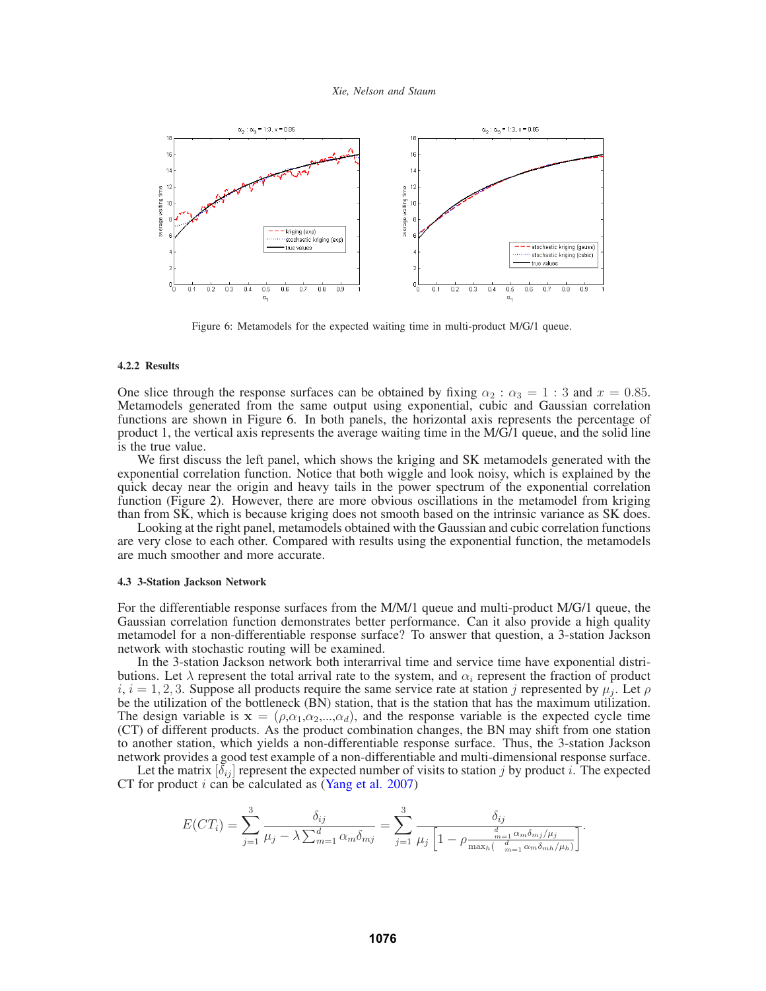

Figure 6: Metamodels for the expected waiting time in multi-product M/G/1 queue.

## **4.2.2 Results**

One slice through the response surfaces can be obtained by fixing  $\alpha_2 : \alpha_3 = 1 : 3$  and  $x = 0.85$ . Metamodels generated from the same output using exponential, cubic and Gaussian correlation functions are shown in Figure 6. In both panels, the horizontal axis represents the percentage of product 1, the vertical axis represents the average waiting time in the M/G/1 queue, and the solid line is the true value.

We first discuss the left panel, which shows the kriging and SK metamodels generated with the exponential correlation function. Notice that both wiggle and look noisy, which is explained by the quick decay near the origin and heavy tails in the power spectrum of the exponential correlation function (Figure 2). However, there are more obvious oscillations in the metamodel from kriging than from SK, which is because kriging does not smooth based on the intrinsic variance as SK does.

Looking at the right panel, metamodels obtained with the Gaussian and cubic correlation functions are very close to each other. Compared with results using the exponential function, the metamodels are much smoother and more accurate.

### **4.3 3-Station Jackson Network**

For the differentiable response surfaces from the M/M/1 queue and multi-product M/G/1 queue, the Gaussian correlation function demonstrates better performance. Can it also provide a high quality metamodel for a non-differentiable response surface? To answer that question, a 3-station Jackson network with stochastic routing will be examined.

In the 3-station Jackson network both interarrival time and service time have exponential distributions. Let  $\lambda$  represent the total arrival rate to the system, and  $\alpha_i$  represent the fraction of product  $i, i = 1, 2, 3$ . Suppose all products require the same service rate at station j represented by  $\mu_i$ . Let  $\rho$ be the utilization of the bottleneck (BN) station, that is the station that has the maximum utilization. The design variable is  $\mathbf{x} = (\rho, \alpha_1, \alpha_2, ..., \alpha_d)$ , and the response variable is the expected cycle time (CT) of different products. As the product combination changes, the BN may shift from one station to another station, which yields a non-differentiable response surface. Thus, the 3-station Jackson network provides a good test example of a non-differentiable and multi-dimensional response surface.

Let the matrix  $[\delta_{ij}]$  represent the expected number of visits to station j by product i. The expected CT for product  $i$  can be calculated as (Yang et al. 2007)

$$
E(CT_i) = \sum_{j=1}^{3} \frac{\delta_{ij}}{\mu_j - \lambda \sum_{m=1}^{d} \alpha_m \delta_{mj}} = \sum_{j=1}^{3} \frac{\delta_{ij}}{\mu_j \left[1 - \rho \frac{\frac{d}{m}}{\max_{h} (\frac{d}{m} - 1 \alpha_m \delta_{mj}/\mu_j)}\right]}.
$$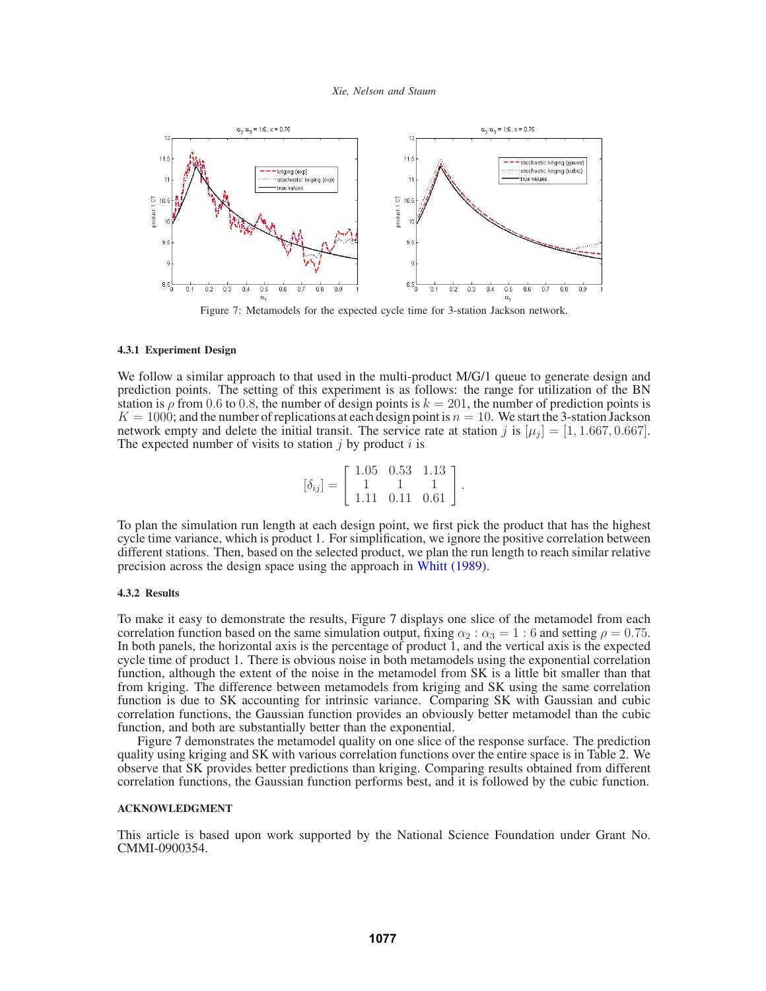

Figure 7: Metamodels for the expected cycle time for 3-station Jackson network.

## **4.3.1 Experiment Design**

We follow a similar approach to that used in the multi-product M/G/1 queue to generate design and prediction points. The setting of this experiment is as follows: the range for utilization of the BN station is  $\rho$  from 0.6 to 0.8, the number of design points is  $k = 201$ , the number of prediction points is  $K = 1000$ ; and the number of replications at each design point is  $n = 10$ . We start the 3-station Jackson network empty and delete the initial transit. The service rate at station j is  $[\mu_i] = [1, 1.667, 0.667]$ . The expected number of visits to station  $j$  by product  $i$  is

$$
[\delta_{ij}] = \left[ \begin{array}{rrr} 1.05 & 0.53 & 1.13 \\ 1 & 1 & 1 \\ 1.11 & 0.11 & 0.61 \end{array} \right].
$$

To plan the simulation run length at each design point, we first pick the product that has the highest cycle time variance, which is product 1. For simplification, we ignore the positive correlation between different stations. Then, based on the selected product, we plan the run length to reach similar relative precision across the design space using the approach in Whitt (1989).

## **4.3.2 Results**

To make it easy to demonstrate the results, Figure 7 displays one slice of the metamodel from each correlation function based on the same simulation output, fixing  $\alpha_2 : \alpha_3 = 1 : 6$  and setting  $\rho = 0.75$ . In both panels, the horizontal axis is the percentage of product 1, and the vertical axis is the expected cycle time of product 1. There is obvious noise in both metamodels using the exponential correlation function, although the extent of the noise in the metamodel from SK is a little bit smaller than that from kriging. The difference between metamodels from kriging and SK using the same correlation function is due to SK accounting for intrinsic variance. Comparing SK with Gaussian and cubic correlation functions, the Gaussian function provides an obviously better metamodel than the cubic function, and both are substantially better than the exponential.

Figure 7 demonstrates the metamodel quality on one slice of the response surface. The prediction quality using kriging and SK with various correlation functions over the entire space is in Table 2. We observe that SK provides better predictions than kriging. Comparing results obtained from different correlation functions, the Gaussian function performs best, and it is followed by the cubic function.

### **ACKNOWLEDGMENT**

This article is based upon work supported by the National Science Foundation under Grant No. CMMI-0900354.